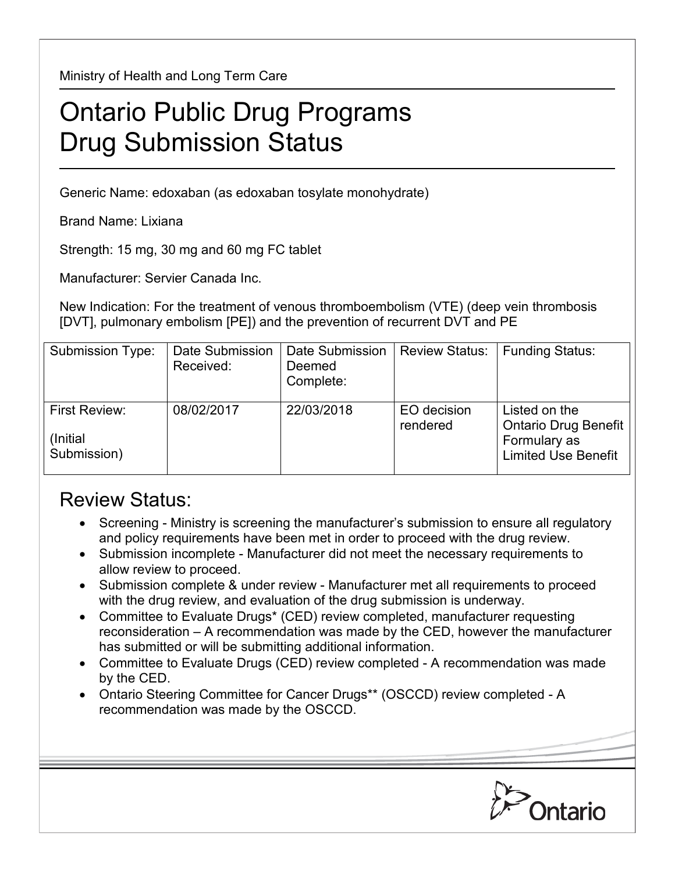Ministry of Health and Long Term Care

## Ontario Public Drug Programs Drug Submission Status

Generic Name: edoxaban (as edoxaban tosylate monohydrate)

Brand Name: Lixiana

Strength: 15 mg, 30 mg and 60 mg FC tablet

Manufacturer: Servier Canada Inc.

New Indication: For the treatment of venous thromboembolism (VTE) (deep vein thrombosis [DVT], pulmonary embolism [PE]) and the prevention of recurrent DVT and PE

| Submission Type:                                 | Date Submission<br>Received: | Date Submission<br>Deemed<br>Complete: | <b>Review Status:</b>   | <b>Funding Status:</b>                                                              |
|--------------------------------------------------|------------------------------|----------------------------------------|-------------------------|-------------------------------------------------------------------------------------|
| <b>First Review:</b><br>(Initial)<br>Submission) | 08/02/2017                   | 22/03/2018                             | EO decision<br>rendered | Listed on the<br>Ontario Drug Benefit<br>Formulary as<br><b>Limited Use Benefit</b> |

## Review Status:

- Screening Ministry is screening the manufacturer's submission to ensure all regulatory and policy requirements have been met in order to proceed with the drug review.
- Submission incomplete Manufacturer did not meet the necessary requirements to allow review to proceed.
- Submission complete & under review Manufacturer met all requirements to proceed with the drug review, and evaluation of the drug submission is underway.
- Committee to Evaluate Drugs\* (CED) review completed, manufacturer requesting reconsideration – A recommendation was made by the CED, however the manufacturer has submitted or will be submitting additional information.
- Committee to Evaluate Drugs (CED) review completed A recommendation was made by the CED.
- Ontario Steering Committee for Cancer Drugs\*\* (OSCCD) review completed A recommendation was made by the OSCCD.